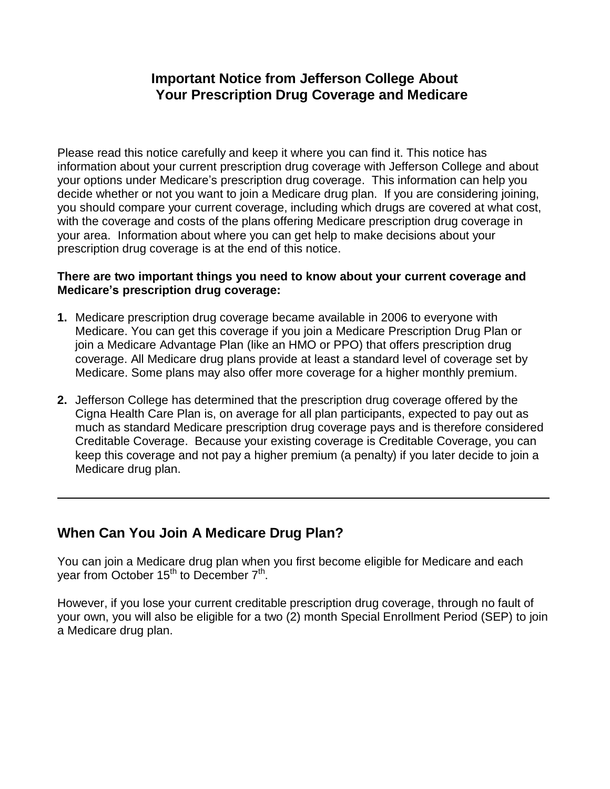#### **Important Notice from Jefferson College About Your Prescription Drug Coverage and Medicare**

Please read this notice carefully and keep it where you can find it. This notice has information about your current prescription drug coverage with Jefferson College and about your options under Medicare's prescription drug coverage. This information can help you decide whether or not you want to join a Medicare drug plan. If you are considering joining, you should compare your current coverage, including which drugs are covered at what cost, with the coverage and costs of the plans offering Medicare prescription drug coverage in your area. Information about where you can get help to make decisions about your prescription drug coverage is at the end of this notice.

#### **There are two important things you need to know about your current coverage and Medicare's prescription drug coverage:**

- **1.** Medicare prescription drug coverage became available in 2006 to everyone with Medicare. You can get this coverage if you join a Medicare Prescription Drug Plan or join a Medicare Advantage Plan (like an HMO or PPO) that offers prescription drug coverage. All Medicare drug plans provide at least a standard level of coverage set by Medicare. Some plans may also offer more coverage for a higher monthly premium.
- **2.** Jefferson College has determined that the prescription drug coverage offered by the Cigna Health Care Plan is, on average for all plan participants, expected to pay out as much as standard Medicare prescription drug coverage pays and is therefore considered Creditable Coverage. Because your existing coverage is Creditable Coverage, you can keep this coverage and not pay a higher premium (a penalty) if you later decide to join a Medicare drug plan.

# **When Can You Join A Medicare Drug Plan?**

You can join a Medicare drug plan when you first become eligible for Medicare and each year from October 15<sup>th</sup> to December 7<sup>th</sup>.

However, if you lose your current creditable prescription drug coverage, through no fault of your own, you will also be eligible for a two (2) month Special Enrollment Period (SEP) to join a Medicare drug plan.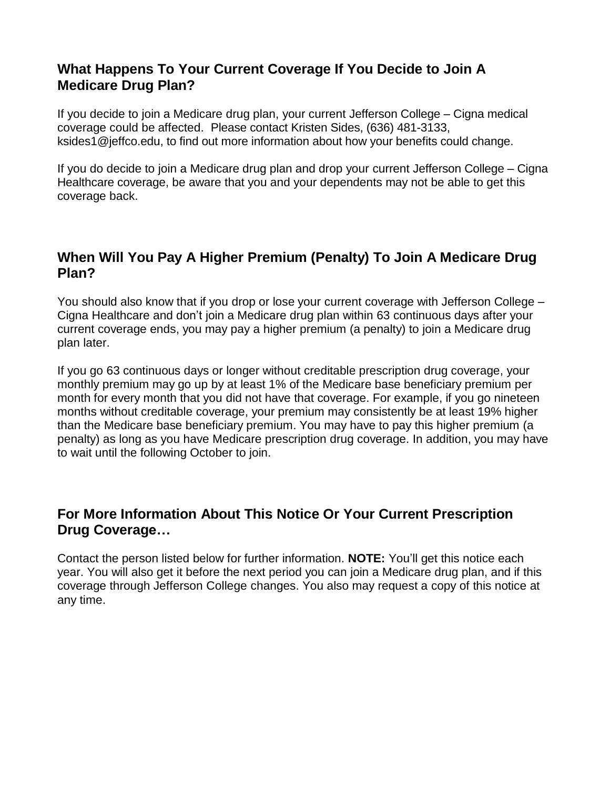## **What Happens To Your Current Coverage If You Decide to Join A Medicare Drug Plan?**

If you decide to join a Medicare drug plan, your current Jefferson College – Cigna medical coverage could be affected. Please contact Kristen Sides, (636) 481-3133, ksides1@jeffco.edu, to find out more information about how your benefits could change.

If you do decide to join a Medicare drug plan and drop your current Jefferson College – Cigna Healthcare coverage, be aware that you and your dependents may not be able to get this coverage back.

#### **When Will You Pay A Higher Premium (Penalty) To Join A Medicare Drug Plan?**

You should also know that if you drop or lose your current coverage with Jefferson College – Cigna Healthcare and don't join a Medicare drug plan within 63 continuous days after your current coverage ends, you may pay a higher premium (a penalty) to join a Medicare drug plan later.

If you go 63 continuous days or longer without creditable prescription drug coverage, your monthly premium may go up by at least 1% of the Medicare base beneficiary premium per month for every month that you did not have that coverage. For example, if you go nineteen months without creditable coverage, your premium may consistently be at least 19% higher than the Medicare base beneficiary premium. You may have to pay this higher premium (a penalty) as long as you have Medicare prescription drug coverage. In addition, you may have to wait until the following October to join.

# **For More Information About This Notice Or Your Current Prescription Drug Coverage…**

Contact the person listed below for further information. **NOTE:** You'll get this notice each year. You will also get it before the next period you can join a Medicare drug plan, and if this coverage through Jefferson College changes. You also may request a copy of this notice at any time.